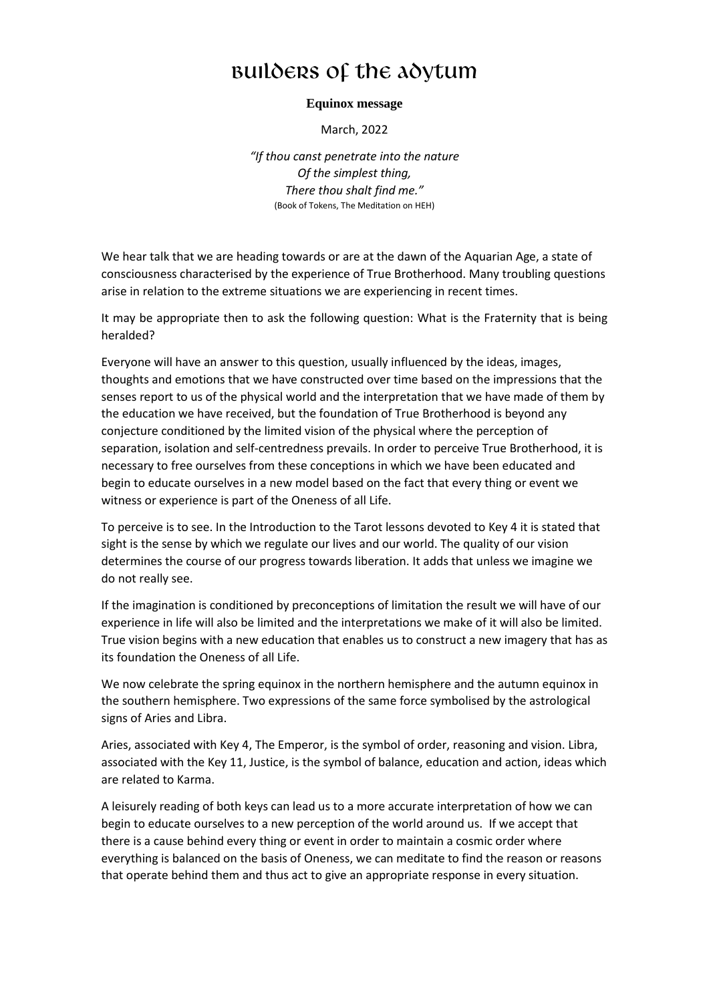## Builders of the Adytum

## **Equinox message**

March, 2022

*"If thou canst penetrate into the nature Of the simplest thing, There thou shalt find me."* (Book of Tokens, The Meditation on HEH)

We hear talk that we are heading towards or are at the dawn of the Aquarian Age, a state of consciousness characterised by the experience of True Brotherhood. Many troubling questions arise in relation to the extreme situations we are experiencing in recent times.

It may be appropriate then to ask the following question: What is the Fraternity that is being heralded?

Everyone will have an answer to this question, usually influenced by the ideas, images, thoughts and emotions that we have constructed over time based on the impressions that the senses report to us of the physical world and the interpretation that we have made of them by the education we have received, but the foundation of True Brotherhood is beyond any conjecture conditioned by the limited vision of the physical where the perception of separation, isolation and self-centredness prevails. In order to perceive True Brotherhood, it is necessary to free ourselves from these conceptions in which we have been educated and begin to educate ourselves in a new model based on the fact that every thing or event we witness or experience is part of the Oneness of all Life.

To perceive is to see. In the Introduction to the Tarot lessons devoted to Key 4 it is stated that sight is the sense by which we regulate our lives and our world. The quality of our vision determines the course of our progress towards liberation. It adds that unless we imagine we do not really see.

If the imagination is conditioned by preconceptions of limitation the result we will have of our experience in life will also be limited and the interpretations we make of it will also be limited. True vision begins with a new education that enables us to construct a new imagery that has as its foundation the Oneness of all Life.

We now celebrate the spring equinox in the northern hemisphere and the autumn equinox in the southern hemisphere. Two expressions of the same force symbolised by the astrological signs of Aries and Libra.

Aries, associated with Key 4, The Emperor, is the symbol of order, reasoning and vision. Libra, associated with the Key 11, Justice, is the symbol of balance, education and action, ideas which are related to Karma.

A leisurely reading of both keys can lead us to a more accurate interpretation of how we can begin to educate ourselves to a new perception of the world around us. If we accept that there is a cause behind every thing or event in order to maintain a cosmic order where everything is balanced on the basis of Oneness, we can meditate to find the reason or reasons that operate behind them and thus act to give an appropriate response in every situation.